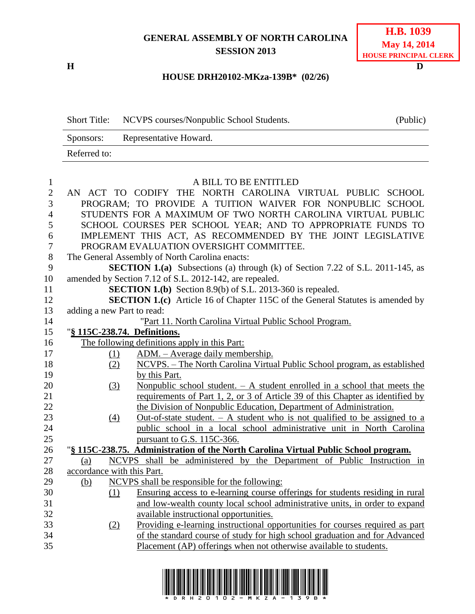## **GENERAL ASSEMBLY OF NORTH CAROLINA SESSION 2013**

**H D**

## **HOUSE DRH20102-MKza-139B\* (02/26)**

|              | Short Title: NCVPS courses/Nonpublic School Students. | (Public) |
|--------------|-------------------------------------------------------|----------|
| Sponsors:    | Representative Howard.                                |          |
| Referred to: |                                                       |          |

| $\mathbf{1}$   |                                   | A BILL TO BE ENTITLED                                                                 |
|----------------|-----------------------------------|---------------------------------------------------------------------------------------|
| $\overline{2}$ |                                   | AN ACT TO CODIFY THE NORTH CAROLINA VIRTUAL PUBLIC SCHOOL                             |
| 3              |                                   | PROGRAM; TO PROVIDE A TUITION WAIVER FOR NONPUBLIC SCHOOL                             |
| $\overline{4}$ |                                   | STUDENTS FOR A MAXIMUM OF TWO NORTH CAROLINA VIRTUAL PUBLIC                           |
| 5              |                                   | SCHOOL COURSES PER SCHOOL YEAR; AND TO APPROPRIATE FUNDS TO                           |
| 6              |                                   | IMPLEMENT THIS ACT, AS RECOMMENDED BY THE JOINT LEGISLATIVE                           |
| $\tau$         |                                   | PROGRAM EVALUATION OVERSIGHT COMMITTEE.                                               |
| 8              |                                   | The General Assembly of North Carolina enacts:                                        |
| 9              |                                   | <b>SECTION 1.(a)</b> Subsections (a) through (k) of Section 7.22 of S.L. 2011-145, as |
| 10             |                                   | amended by Section 7.12 of S.L. 2012-142, are repealed.                               |
| 11             |                                   | <b>SECTION 1.(b)</b> Section 8.9(b) of S.L. 2013-360 is repealed.                     |
| 12             |                                   | <b>SECTION 1.(c)</b> Article 16 of Chapter 115C of the General Statutes is amended by |
| 13             | adding a new Part to read:        |                                                                                       |
| 14             |                                   | "Part 11. North Carolina Virtual Public School Program.                               |
| 15             | "§ 115C-238.74. Definitions.      |                                                                                       |
| 16             |                                   | The following definitions apply in this Part:                                         |
| 17             | (1)                               | ADM. - Average daily membership.                                                      |
| 18             | (2)                               | NCVPS. - The North Carolina Virtual Public School program, as established             |
| 19             |                                   | by this Part.                                                                         |
| 20             | (3)                               | Nonpublic school student. $- A$ student enrolled in a school that meets the           |
| 21             |                                   | requirements of Part 1, 2, or 3 of Article 39 of this Chapter as identified by        |
| 22             |                                   | the Division of Nonpublic Education, Department of Administration.                    |
| 23             | (4)                               | Out-of-state student. $-$ A student who is not qualified to be assigned to a          |
| 24             |                                   | public school in a local school administrative unit in North Carolina                 |
| 25             |                                   | pursuant to G.S. 115C-366.                                                            |
| 26             |                                   | "§ 115C-238.75. Administration of the North Carolina Virtual Public School program.   |
| 27<br>28       | (a)<br>accordance with this Part. | NCVPS shall be administered by the Department of Public Instruction in                |
| 29             |                                   | NCVPS shall be responsible for the following:                                         |
| 30             | <u>(b)</u><br>(1)                 | Ensuring access to e-learning course offerings for students residing in rural         |
| 31             |                                   | and low-wealth county local school administrative units, in order to expand           |
| 32             |                                   | available instructional opportunities.                                                |
| 33             | (2)                               | Providing e-learning instructional opportunities for courses required as part         |
| 34             |                                   | of the standard course of study for high school graduation and for Advanced           |
| 35             |                                   | Placement (AP) offerings when not otherwise available to students.                    |
|                |                                   |                                                                                       |

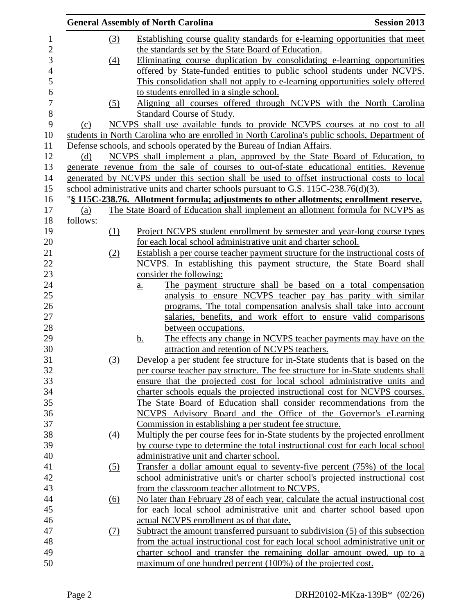|          |                  | <b>General Assembly of North Carolina</b>                                                     | <b>Session 2013</b> |
|----------|------------------|-----------------------------------------------------------------------------------------------|---------------------|
|          | (3)              | Establishing course quality standards for e-learning opportunities that meet                  |                     |
|          |                  | the standards set by the State Board of Education.                                            |                     |
|          | $\left(4\right)$ | Eliminating course duplication by consolidating e-learning opportunities                      |                     |
|          |                  | offered by State-funded entities to public school students under NCVPS.                       |                     |
|          |                  | This consolidation shall not apply to e-learning opportunities solely offered                 |                     |
|          |                  | to students enrolled in a single school.                                                      |                     |
|          | (5)              | Aligning all courses offered through NCVPS with the North Carolina                            |                     |
|          |                  | Standard Course of Study.                                                                     |                     |
| (c)      |                  | NCVPS shall use available funds to provide NCVPS courses at no cost to all                    |                     |
|          |                  | students in North Carolina who are enrolled in North Carolina's public schools, Department of |                     |
|          |                  | Defense schools, and schools operated by the Bureau of Indian Affairs.                        |                     |
| (d)      |                  | NCVPS shall implement a plan, approved by the State Board of Education, to                    |                     |
|          |                  | generate revenue from the sale of courses to out-of-state educational entities. Revenue       |                     |
|          |                  | generated by NCVPS under this section shall be used to offset instructional costs to local    |                     |
|          |                  | school administrative units and charter schools pursuant to G.S. 115C-238.76(d)(3).           |                     |
|          |                  | "§ 115C-238.76. Allotment formula; adjustments to other allotments; enrollment reserve.       |                     |
| (a)      |                  | The State Board of Education shall implement an allotment formula for NCVPS as                |                     |
| follows: |                  |                                                                                               |                     |
|          | (1)              | Project NCVPS student enrollment by semester and year-long course types                       |                     |
|          |                  | for each local school administrative unit and charter school.                                 |                     |
|          | (2)              | Establish a per course teacher payment structure for the instructional costs of               |                     |
|          |                  | NCVPS. In establishing this payment structure, the State Board shall                          |                     |
|          |                  | consider the following:                                                                       |                     |
|          |                  | The payment structure shall be based on a total compensation<br>a.                            |                     |
|          |                  | analysis to ensure NCVPS teacher pay has parity with similar                                  |                     |
|          |                  | programs. The total compensation analysis shall take into account                             |                     |
|          |                  | salaries, benefits, and work effort to ensure valid comparisons                               |                     |
|          |                  | between occupations.                                                                          |                     |
|          |                  | The effects any change in NCVPS teacher payments may have on the<br><u>b.</u>                 |                     |
|          |                  | attraction and retention of NCVPS teachers.                                                   |                     |
|          | (3)              | Develop a per student fee structure for in-State students that is based on the                |                     |
|          |                  | per course teacher pay structure. The fee structure for in-State students shall               |                     |
|          |                  | ensure that the projected cost for local school administrative units and                      |                     |
|          |                  | charter schools equals the projected instructional cost for NCVPS courses.                    |                     |
|          |                  | The State Board of Education shall consider recommendations from the                          |                     |
|          |                  | NCVPS Advisory Board and the Office of the Governor's eLearning                               |                     |
|          |                  | Commission in establishing a per student fee structure.                                       |                     |
|          | (4)              | Multiply the per course fees for in-State students by the projected enrollment                |                     |
|          |                  | by course type to determine the total instructional cost for each local school                |                     |
|          |                  | administrative unit and charter school.                                                       |                     |
|          | <u>(5)</u>       | Transfer a dollar amount equal to seventy-five percent (75%) of the local                     |                     |
|          |                  | school administrative unit's or charter school's projected instructional cost                 |                     |
|          |                  | from the classroom teacher allotment to NCVPS.                                                |                     |
|          | <u>(6)</u>       | No later than February 28 of each year, calculate the actual instructional cost               |                     |
|          |                  | for each local school administrative unit and charter school based upon                       |                     |
|          |                  | actual NCVPS enrollment as of that date.                                                      |                     |
|          | (7)              | Subtract the amount transferred pursuant to subdivision (5) of this subsection                |                     |
|          |                  | from the actual instructional cost for each local school administrative unit or               |                     |
|          |                  | charter school and transfer the remaining dollar amount owed, up to a                         |                     |
|          |                  | maximum of one hundred percent (100%) of the projected cost.                                  |                     |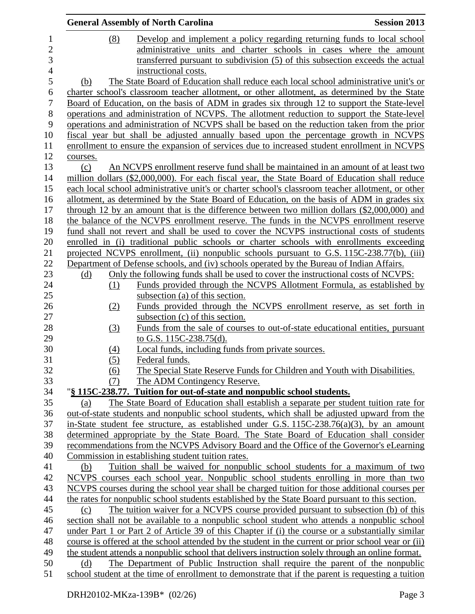|                  |          |     | <b>General Assembly of North Carolina</b>                                                           | <b>Session 2013</b> |
|------------------|----------|-----|-----------------------------------------------------------------------------------------------------|---------------------|
| $\mathbf{1}$     |          | (8) | Develop and implement a policy regarding returning funds to local school                            |                     |
| $\overline{c}$   |          |     | administrative units and charter schools in cases where the amount                                  |                     |
| 3                |          |     | transferred pursuant to subdivision (5) of this subsection exceeds the actual                       |                     |
| $\overline{4}$   |          |     | instructional costs.                                                                                |                     |
| 5                | (b)      |     | The State Board of Education shall reduce each local school administrative unit's or                |                     |
| 6                |          |     | charter school's classroom teacher allotment, or other allotment, as determined by the State        |                     |
| $\boldsymbol{7}$ |          |     | Board of Education, on the basis of ADM in grades six through 12 to support the State-level         |                     |
| $8\,$            |          |     | operations and administration of NCVPS. The allotment reduction to support the State-level          |                     |
| 9                |          |     | operations and administration of NCVPS shall be based on the reduction taken from the prior         |                     |
| 10               |          |     | fiscal year but shall be adjusted annually based upon the percentage growth in NCVPS                |                     |
| 11               |          |     | enrollment to ensure the expansion of services due to increased student enrollment in NCVPS         |                     |
| 12               | courses. |     |                                                                                                     |                     |
| 13               | (c)      |     | An NCVPS enrollment reserve fund shall be maintained in an amount of at least two                   |                     |
| 14               |          |     | million dollars (\$2,000,000). For each fiscal year, the State Board of Education shall reduce      |                     |
| 15               |          |     | each local school administrative unit's or charter school's classroom teacher allotment, or other   |                     |
| 16               |          |     | allotment, as determined by the State Board of Education, on the basis of ADM in grades six         |                     |
| 17               |          |     | through 12 by an amount that is the difference between two million dollars $(\$2,000,000)$ and      |                     |
| 18               |          |     | the balance of the NCVPS enrollment reserve. The funds in the NCVPS enrollment reserve              |                     |
| 19               |          |     | fund shall not revert and shall be used to cover the NCVPS instructional costs of students          |                     |
| 20               |          |     | enrolled in (i) traditional public schools or charter schools with enrollments exceeding            |                     |
| 21               |          |     | projected NCVPS enrollment, (ii) nonpublic schools pursuant to G.S. 115C-238.77(b), (iii)           |                     |
| 22               |          |     | Department of Defense schools, and (iv) schools operated by the Bureau of Indian Affairs.           |                     |
| 23               | (d)      |     | Only the following funds shall be used to cover the instructional costs of NCVPS:                   |                     |
| 24               |          | (1) | Funds provided through the NCVPS Allotment Formula, as established by                               |                     |
| 25               |          |     | subsection (a) of this section.                                                                     |                     |
| 26               |          | (2) | Funds provided through the NCVPS enrollment reserve, as set forth in                                |                     |
| 27               |          |     | subsection (c) of this section.                                                                     |                     |
| 28               |          | (3) | Funds from the sale of courses to out-of-state educational entities, pursuant                       |                     |
| 29               |          |     | to G.S. 115C-238.75(d).                                                                             |                     |
| 30               |          | (4) | Local funds, including funds from private sources.                                                  |                     |
| 31               |          | (5) | Federal funds.                                                                                      |                     |
| 32               |          | (6) | The Special State Reserve Funds for Children and Youth with Disabilities.                           |                     |
| 33               |          | (7) | The ADM Contingency Reserve.                                                                        |                     |
| 34               |          |     | "§ 115C-238.77. Tuition for out-of-state and nonpublic school students.                             |                     |
| 35               | (a)      |     | The State Board of Education shall establish a separate per student tuition rate for                |                     |
| 36               |          |     | out-of-state students and nonpublic school students, which shall be adjusted upward from the        |                     |
| 37               |          |     | in-State student fee structure, as established under G.S. 115C-238.76(a)(3), by an amount           |                     |
| 38               |          |     | determined appropriate by the State Board. The State Board of Education shall consider              |                     |
| 39               |          |     | recommendations from the NCVPS Advisory Board and the Office of the Governor's eLearning            |                     |
| 40               |          |     | Commission in establishing student tuition rates.                                                   |                     |
| 41               | (b)      |     | Tuition shall be waived for nonpublic school students for a maximum of two                          |                     |
| 42               |          |     | NCVPS courses each school year. Nonpublic school students enrolling in more than two                |                     |
| 43               |          |     | NCVPS courses during the school year shall be charged tuition for those additional courses per      |                     |
| 44               |          |     | the rates for nonpublic school students established by the State Board pursuant to this section.    |                     |
| 45               | (c)      |     | The tuition waiver for a NCVPS course provided pursuant to subsection (b) of this                   |                     |
| 46               |          |     | section shall not be available to a nonpublic school student who attends a nonpublic school         |                     |
| 47               |          |     | under Part 1 or Part 2 of Article 39 of this Chapter if (i) the course or a substantially similar   |                     |
| 48               |          |     | course is offered at the school attended by the student in the current or prior school year or (ii) |                     |
| 49               |          |     | the student attends a nonpublic school that delivers instruction solely through an online format.   |                     |
| 50               | (d)      |     | The Department of Public Instruction shall require the parent of the nonpublic                      |                     |
| 51               |          |     | school student at the time of enrollment to demonstrate that if the parent is requesting a tuition  |                     |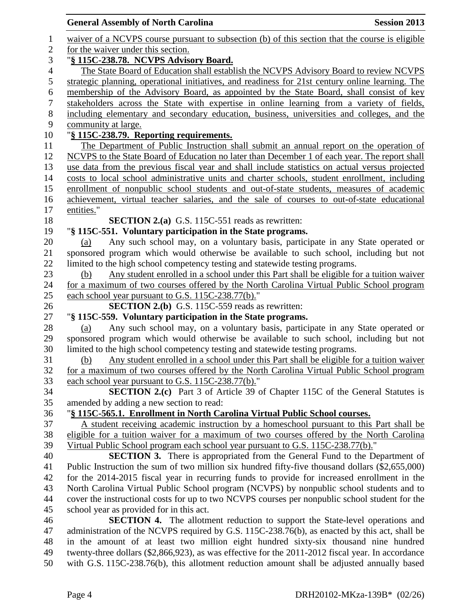|                  | <b>General Assembly of North Carolina</b><br><b>Session 2013</b>                                                                                      |
|------------------|-------------------------------------------------------------------------------------------------------------------------------------------------------|
| $\mathbf{1}$     | waiver of a NCVPS course pursuant to subsection (b) of this section that the course is eligible                                                       |
| $\mathbf{2}$     | for the waiver under this section.                                                                                                                    |
| 3                | "§ 115C-238.78. NCVPS Advisory Board.                                                                                                                 |
| $\overline{4}$   | The State Board of Education shall establish the NCVPS Advisory Board to review NCVPS                                                                 |
| 5                | strategic planning, operational initiatives, and readiness for 21st century online learning. The                                                      |
| $\boldsymbol{6}$ | membership of the Advisory Board, as appointed by the State Board, shall consist of key                                                               |
| $\tau$           | stakeholders across the State with expertise in online learning from a variety of fields,                                                             |
| $\,8\,$          | including elementary and secondary education, business, universities and colleges, and the                                                            |
| 9                | community at large.                                                                                                                                   |
| 10               | "§ 115C-238.79. Reporting requirements.                                                                                                               |
| 11               | The Department of Public Instruction shall submit an annual report on the operation of                                                                |
| 12               | NCVPS to the State Board of Education no later than December 1 of each year. The report shall                                                         |
| 13               | use data from the previous fiscal year and shall include statistics on actual versus projected                                                        |
| 14               | costs to local school administrative units and charter schools, student enrollment, including                                                         |
| 15               | enrollment of nonpublic school students and out-of-state students, measures of academic                                                               |
| 16               | achievement, virtual teacher salaries, and the sale of courses to out-of-state educational                                                            |
| 17               | entities."                                                                                                                                            |
| 18               | <b>SECTION 2.(a)</b> G.S. 115C-551 reads as rewritten:                                                                                                |
| 19               | "§ 115C-551. Voluntary participation in the State programs.                                                                                           |
| 20               | Any such school may, on a voluntary basis, participate in any State operated or<br>(a)                                                                |
| 21               | sponsored program which would otherwise be available to such school, including but not                                                                |
| 22               | limited to the high school competency testing and statewide testing programs.                                                                         |
| 23               | Any student enrolled in a school under this Part shall be eligible for a tuition waiver<br>(b)                                                        |
| 24               | for a maximum of two courses offered by the North Carolina Virtual Public School program                                                              |
| 25               | each school year pursuant to G.S. 115C-238.77(b)."                                                                                                    |
| 26<br>27         | <b>SECTION 2.(b)</b> G.S. 115C-559 reads as rewritten:                                                                                                |
| 28               | "§ 115C-559. Voluntary participation in the State programs.<br>Any such school may, on a voluntary basis, participate in any State operated or<br>(a) |
| 29               | sponsored program which would otherwise be available to such school, including but not                                                                |
| 30               | limited to the high school competency testing and statewide testing programs.                                                                         |
| 31               | Any student enrolled in a school under this Part shall be eligible for a tuition waiver<br>(b)                                                        |
| 32               | for a maximum of two courses offered by the North Carolina Virtual Public School program                                                              |
| 33               | each school year pursuant to G.S. 115C-238.77(b)."                                                                                                    |
| 34               | <b>SECTION 2.(c)</b> Part 3 of Article 39 of Chapter 115C of the General Statutes is                                                                  |
| 35               | amended by adding a new section to read:                                                                                                              |
| 36               | "§ 115C-565.1. Enrollment in North Carolina Virtual Public School courses.                                                                            |
| 37               | A student receiving academic instruction by a homeschool pursuant to this Part shall be                                                               |
| 38               | eligible for a tuition waiver for a maximum of two courses offered by the North Carolina                                                              |
| 39               | Virtual Public School program each school year pursuant to G.S. 115C-238.77(b)."                                                                      |
| 40               | <b>SECTION 3.</b> There is appropriated from the General Fund to the Department of                                                                    |
| 41               | Public Instruction the sum of two million six hundred fifty-five thousand dollars (\$2,655,000)                                                       |
| 42               | for the 2014-2015 fiscal year in recurring funds to provide for increased enrollment in the                                                           |
| 43               | North Carolina Virtual Public School program (NCVPS) by nonpublic school students and to                                                              |
| 44               | cover the instructional costs for up to two NCVPS courses per nonpublic school student for the                                                        |
| 45               | school year as provided for in this act.                                                                                                              |
| 46               | SECTION 4. The allotment reduction to support the State-level operations and                                                                          |
| 47               | administration of the NCVPS required by G.S. 115C-238.76(b), as enacted by this act, shall be                                                         |
| 48               | in the amount of at least two million eight hundred sixty-six thousand nine hundred                                                                   |
| 49               | twenty-three dollars (\$2,866,923), as was effective for the 2011-2012 fiscal year. In accordance                                                     |
| 50               | with G.S. 115C-238.76(b), this allotment reduction amount shall be adjusted annually based                                                            |